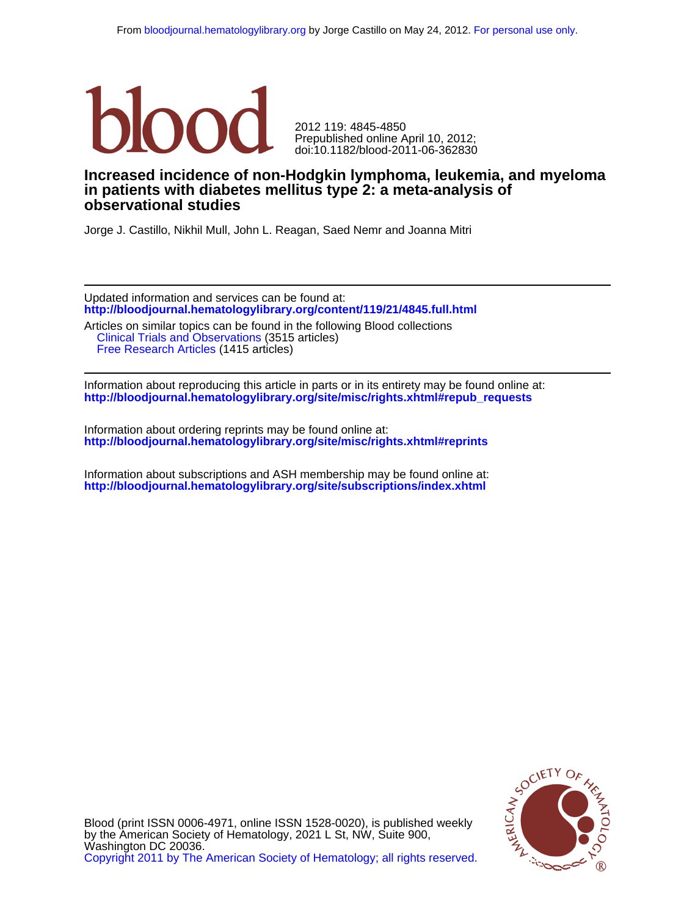

doi:10.1182/blood-2011-06-362830 Prepublished online April 10, 2012; 2012 119: 4845-4850

# **observational studies in patients with diabetes mellitus type 2: a meta-analysis of Increased incidence of non-Hodgkin lymphoma, leukemia, and myeloma**

Jorge J. Castillo, Nikhil Mull, John L. Reagan, Saed Nemr and Joanna Mitri

**<http://bloodjournal.hematologylibrary.org/content/119/21/4845.full.html>** Updated information and services can be found at:

 [Free Research Articles](http://bloodjournal.hematologylibrary.org/cgi/collection/free_research_articles) (1415 articles) [Clinical Trials and Observations](http://bloodjournal.hematologylibrary.org/cgi/collection/clinical_trials_and_observations) (3515 articles) Articles on similar topics can be found in the following Blood collections

**[http://bloodjournal.hematologylibrary.org/site/misc/rights.xhtml#repub\\_requests](http://bloodjournal.hematologylibrary.org/site/misc/rights.xhtml#repub_requests)** Information about reproducing this article in parts or in its entirety may be found online at:

**<http://bloodjournal.hematologylibrary.org/site/misc/rights.xhtml#reprints>** Information about ordering reprints may be found online at:

**<http://bloodjournal.hematologylibrary.org/site/subscriptions/index.xhtml>** Information about subscriptions and ASH membership may be found online at:



[Copyright 2011 by The American Society of Hematology; all rights reserved.](http://bloodjournal.hematologylibrary.org/subscriptions/ToS.dtl) Washington DC 20036. by the American Society of Hematology, 2021 L St, NW, Suite 900, Blood (print ISSN 0006-4971, online ISSN 1528-0020), is published weekly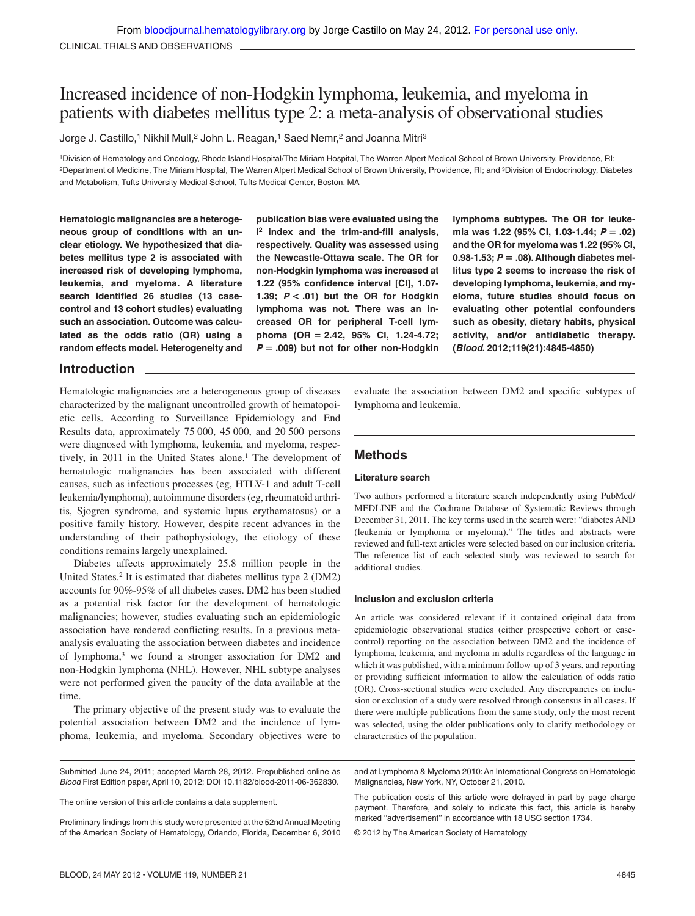# Increased incidence of non-Hodgkin lymphoma, leukemia, and myeloma in patients with diabetes mellitus type 2: a meta-analysis of observational studies

Jorge J. Castillo,<sup>1</sup> Nikhil Mull,<sup>2</sup> John L. Reagan,<sup>1</sup> Saed Nemr,<sup>2</sup> and Joanna Mitri<sup>3</sup>

1Division of Hematology and Oncology, Rhode Island Hospital/The Miriam Hospital, The Warren Alpert Medical School of Brown University, Providence, RI; 2Department of Medicine, The Miriam Hospital, The Warren Alpert Medical School of Brown University, Providence, RI; and 3Division of Endocrinology, Diabetes and Metabolism, Tufts University Medical School, Tufts Medical Center, Boston, MA

**Hematologic malignancies are a heterogeneous group of conditions with an unclear etiology. We hypothesized that diabetes mellitus type 2 is associated with increased risk of developing lymphoma, leukemia, and myeloma. A literature search identified 26 studies (13 casecontrol and 13 cohort studies) evaluating such an association. Outcome was calculated as the odds ratio (OR) using a random effects model. Heterogeneity and**

**publication bias were evaluated using the I <sup>2</sup> index and the trim-and-fill analysis, respectively. Quality was assessed using the Newcastle-Ottawa scale. The OR for non-Hodgkin lymphoma was increased at 1.22 (95% confidence interval [CI], 1.07- 1.39;** *P* **< .01) but the OR for Hodgkin lymphoma was not. There was an increased OR for peripheral T-cell lymphoma (OR 2.42, 95% CI, 1.24-4.72;** *P* **.009) but not for other non-Hodgkin**

**lymphoma subtypes. The OR for leukemia was 1.22 (95% CI, 1.03-1.44;** *P* **.02) and the OR for myeloma was 1.22 (95% CI, 0.98-1.53;** *P* **.08). Although diabetes mellitus type 2 seems to increase the risk of developing lymphoma, leukemia, and myeloma, future studies should focus on evaluating other potential confounders such as obesity, dietary habits, physical activity, and/or antidiabetic therapy. (***Blood***. 2012;119(21):4845-4850)**

## **Introduction**

Hematologic malignancies are a heterogeneous group of diseases characterized by the malignant uncontrolled growth of hematopoietic cells. According to Surveillance Epidemiology and End Results data, approximately 75 000, 45 000, and 20 500 persons were diagnosed with lymphoma, leukemia, and myeloma, respectively, in 2011 in the United States alone.1 The development of hematologic malignancies has been associated with different causes, such as infectious processes (eg, HTLV-1 and adult T-cell leukemia/lymphoma), autoimmune disorders (eg, rheumatoid arthritis, Sjogren syndrome, and systemic lupus erythematosus) or a positive family history. However, despite recent advances in the understanding of their pathophysiology, the etiology of these conditions remains largely unexplained.

Diabetes affects approximately 25.8 million people in the United States.2 It is estimated that diabetes mellitus type 2 (DM2) accounts for 90%-95% of all diabetes cases. DM2 has been studied as a potential risk factor for the development of hematologic malignancies; however, studies evaluating such an epidemiologic association have rendered conflicting results. In a previous metaanalysis evaluating the association between diabetes and incidence of lymphoma,3 we found a stronger association for DM2 and non-Hodgkin lymphoma (NHL). However, NHL subtype analyses were not performed given the paucity of the data available at the time.

The primary objective of the present study was to evaluate the potential association between DM2 and the incidence of lymphoma, leukemia, and myeloma. Secondary objectives were to

Submitted June 24, 2011; accepted March 28, 2012. Prepublished online as *Blood* First Edition paper, April 10, 2012; DOI 10.1182/blood-2011-06-362830.

The online version of this article contains a data supplement.

Preliminary findings from this study were presented at the 52nd Annual Meeting of the American Society of Hematology, Orlando, Florida, December 6, 2010 evaluate the association between DM2 and specific subtypes of lymphoma and leukemia.

## **Methods**

### **Literature search**

Two authors performed a literature search independently using PubMed/ MEDLINE and the Cochrane Database of Systematic Reviews through December 31, 2011. The key terms used in the search were: "diabetes AND (leukemia or lymphoma or myeloma)." The titles and abstracts were reviewed and full-text articles were selected based on our inclusion criteria. The reference list of each selected study was reviewed to search for additional studies.

## **Inclusion and exclusion criteria**

An article was considered relevant if it contained original data from epidemiologic observational studies (either prospective cohort or casecontrol) reporting on the association between DM2 and the incidence of lymphoma, leukemia, and myeloma in adults regardless of the language in which it was published, with a minimum follow-up of 3 years, and reporting or providing sufficient information to allow the calculation of odds ratio (OR). Cross-sectional studies were excluded. Any discrepancies on inclusion or exclusion of a study were resolved through consensus in all cases. If there were multiple publications from the same study, only the most recent was selected, using the older publications only to clarify methodology or characteristics of the population.

and at Lymphoma & Myeloma 2010: An International Congress on Hematologic Malignancies, New York, NY, October 21, 2010.

The publication costs of this article were defrayed in part by page charge payment. Therefore, and solely to indicate this fact, this article is hereby marked "advertisement" in accordance with 18 USC section 1734.

© 2012 by The American Society of Hematology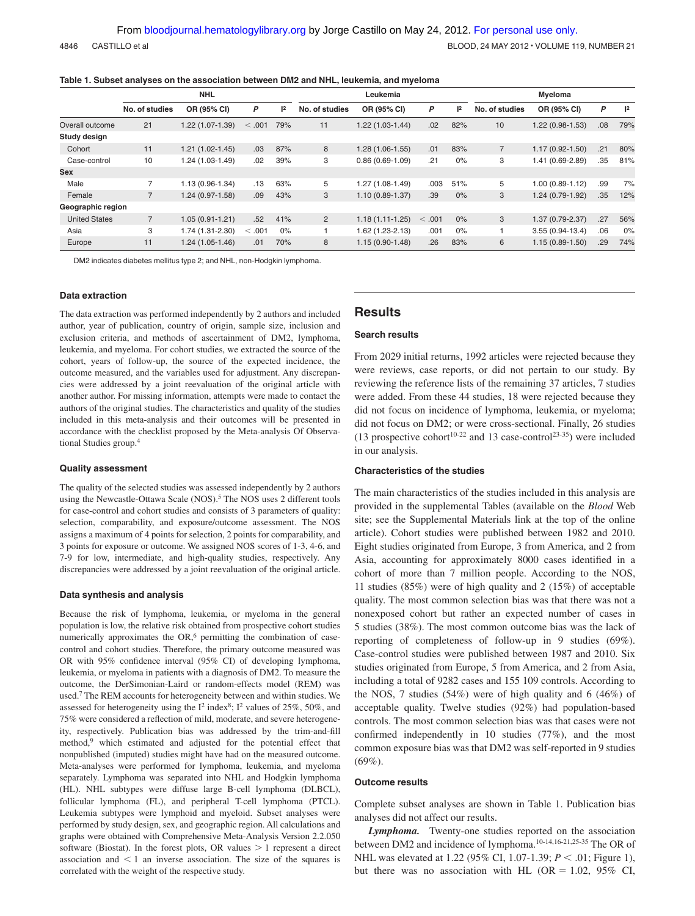4846 CASTILLO et al BLOOD, 24 MAY 2012 • VOLUME 119, NUMBER 21

|  |  |  |  |  |  |  | Table 1. Subset analyses on the association between DM2 and NHL, leukemia, and myeloma |
|--|--|--|--|--|--|--|----------------------------------------------------------------------------------------|
|--|--|--|--|--|--|--|----------------------------------------------------------------------------------------|

|                      | <b>NHL</b>     |                     |         |       | Leukemia       |                     |        |       | Myeloma        |                     |     |     |
|----------------------|----------------|---------------------|---------|-------|----------------|---------------------|--------|-------|----------------|---------------------|-----|-----|
|                      | No. of studies | OR (95% CI)         | P       | 2     | No. of studies | OR (95% CI)         | P      | 2     | No. of studies | OR (95% CI)         | P   | 2   |
| Overall outcome      | 21             | 1.22 (1.07-1.39)    | < .001  | 79%   | 11             | $1.22(1.03-1.44)$   | .02    | 82%   | 10             | 1.22 (0.98-1.53)    | .08 | 79% |
| Study design         |                |                     |         |       |                |                     |        |       |                |                     |     |     |
| Cohort               | 11             | $1.21(1.02 - 1.45)$ | .03     | 87%   | 8              | $1.28(1.06-1.55)$   | .01    | 83%   | $\overline{7}$ | $1.17(0.92 - 1.50)$ | .21 | 80% |
| Case-control         | 10             | 1.24 (1.03-1.49)    | .02     | 39%   | 3              | $0.86(0.69-1.09)$   | .21    | $0\%$ | 3              | 1.41 (0.69-2.89)    | .35 | 81% |
| <b>Sex</b>           |                |                     |         |       |                |                     |        |       |                |                     |     |     |
| Male                 | $\overline{7}$ | 1.13 (0.96-1.34)    | .13     | 63%   | 5              | 1.27 (1.08-1.49)    | .003   | 51%   | 5              | 1.00 (0.89-1.12)    | .99 | 7%  |
| Female               |                | $1.24(0.97-1.58)$   | .09     | 43%   | 3              | $1.10(0.89 - 1.37)$ | .39    | $0\%$ | 3              | 1.24 (0.79-1.92)    | .35 | 12% |
| Geographic region    |                |                     |         |       |                |                     |        |       |                |                     |     |     |
| <b>United States</b> | $\overline{7}$ | $1.05(0.91 - 1.21)$ | .52     | 41%   | $\overline{2}$ | $1.18(1.11-1.25)$   | < .001 | $0\%$ | 3              | 1.37 (0.79-2.37)    | .27 | 56% |
| Asia                 | 3              | 1.74 (1.31-2.30)    | < 0.001 | $0\%$ |                | 1.62 (1.23-2.13)    | .001   | $0\%$ |                | $3.55(0.94-13.4)$   | .06 | 0%  |
| Europe               | 11             | $1.24(1.05-1.46)$   | .01     | 70%   | 8              | $1.15(0.90-1.48)$   | .26    | 83%   | 6              | $1.15(0.89-1.50)$   | .29 | 74% |

DM2 indicates diabetes mellitus type 2; and NHL, non-Hodgkin lymphoma.

#### **Data extraction**

The data extraction was performed independently by 2 authors and included author, year of publication, country of origin, sample size, inclusion and exclusion criteria, and methods of ascertainment of DM2, lymphoma, leukemia, and myeloma. For cohort studies, we extracted the source of the cohort, years of follow-up, the source of the expected incidence, the outcome measured, and the variables used for adjustment. Any discrepancies were addressed by a joint reevaluation of the original article with another author. For missing information, attempts were made to contact the authors of the original studies. The characteristics and quality of the studies included in this meta-analysis and their outcomes will be presented in accordance with the checklist proposed by the Meta-analysis Of Observational Studies group.4

#### **Quality assessment**

The quality of the selected studies was assessed independently by 2 authors using the Newcastle-Ottawa Scale (NOS).<sup>5</sup> The NOS uses 2 different tools for case-control and cohort studies and consists of 3 parameters of quality: selection, comparability, and exposure/outcome assessment. The NOS assigns a maximum of 4 points for selection, 2 points for comparability, and 3 points for exposure or outcome. We assigned NOS scores of 1-3, 4-6, and 7-9 for low, intermediate, and high-quality studies, respectively. Any discrepancies were addressed by a joint reevaluation of the original article.

#### **Data synthesis and analysis**

Because the risk of lymphoma, leukemia, or myeloma in the general population is low, the relative risk obtained from prospective cohort studies numerically approximates the  $OR<sub>1</sub><sup>6</sup>$  permitting the combination of casecontrol and cohort studies. Therefore, the primary outcome measured was OR with 95% confidence interval (95% CI) of developing lymphoma, leukemia, or myeloma in patients with a diagnosis of DM2. To measure the outcome, the DerSimonian-Laird or random-effects model (REM) was used.7 The REM accounts for heterogeneity between and within studies. We assessed for heterogeneity using the  $I^2$  index<sup>8</sup>;  $I^2$  values of 25%, 50%, and 75% were considered a reflection of mild, moderate, and severe heterogeneity, respectively. Publication bias was addressed by the trim-and-fill method,<sup>9</sup> which estimated and adjusted for the potential effect that nonpublished (imputed) studies might have had on the measured outcome. Meta-analyses were performed for lymphoma, leukemia, and myeloma separately. Lymphoma was separated into NHL and Hodgkin lymphoma (HL). NHL subtypes were diffuse large B-cell lymphoma (DLBCL), follicular lymphoma (FL), and peripheral T-cell lymphoma (PTCL). Leukemia subtypes were lymphoid and myeloid. Subset analyses were performed by study design, sex, and geographic region. All calculations and graphs were obtained with Comprehensive Meta-Analysis Version 2.2.050 software (Biostat). In the forest plots, OR values  $> 1$  represent a direct association and  $\leq 1$  an inverse association. The size of the squares is correlated with the weight of the respective study.

## **Results**

### **Search results**

From 2029 initial returns, 1992 articles were rejected because they were reviews, case reports, or did not pertain to our study. By reviewing the reference lists of the remaining 37 articles, 7 studies were added. From these 44 studies, 18 were rejected because they did not focus on incidence of lymphoma, leukemia, or myeloma; did not focus on DM2; or were cross-sectional. Finally, 26 studies (13 prospective cohort<sup>10-22</sup> and 13 case-control<sup>23-35</sup>) were included in our analysis.

## **Characteristics of the studies**

The main characteristics of the studies included in this analysis are provided in the supplemental Tables (available on the *Blood* Web site; see the Supplemental Materials link at the top of the online article). Cohort studies were published between 1982 and 2010. Eight studies originated from Europe, 3 from America, and 2 from Asia, accounting for approximately 8000 cases identified in a cohort of more than 7 million people. According to the NOS, 11 studies (85%) were of high quality and 2 (15%) of acceptable quality. The most common selection bias was that there was not a nonexposed cohort but rather an expected number of cases in 5 studies (38%). The most common outcome bias was the lack of reporting of completeness of follow-up in 9 studies (69%). Case-control studies were published between 1987 and 2010. Six studies originated from Europe, 5 from America, and 2 from Asia, including a total of 9282 cases and 155 109 controls. According to the NOS, 7 studies (54%) were of high quality and 6 (46%) of acceptable quality. Twelve studies (92%) had population-based controls. The most common selection bias was that cases were not confirmed independently in 10 studies (77%), and the most common exposure bias was that DM2 was self-reported in 9 studies (69%).

#### **Outcome results**

Complete subset analyses are shown in Table 1. Publication bias analyses did not affect our results.

*Lymphoma.* Twenty-one studies reported on the association between DM2 and incidence of lymphoma.10-14,16-21,25-35 The OR of NHL was elevated at 1.22 (95% CI, 1.07-1.39; *P* < .01; Figure 1), but there was no association with HL (OR  $= 1.02$ , 95% CI,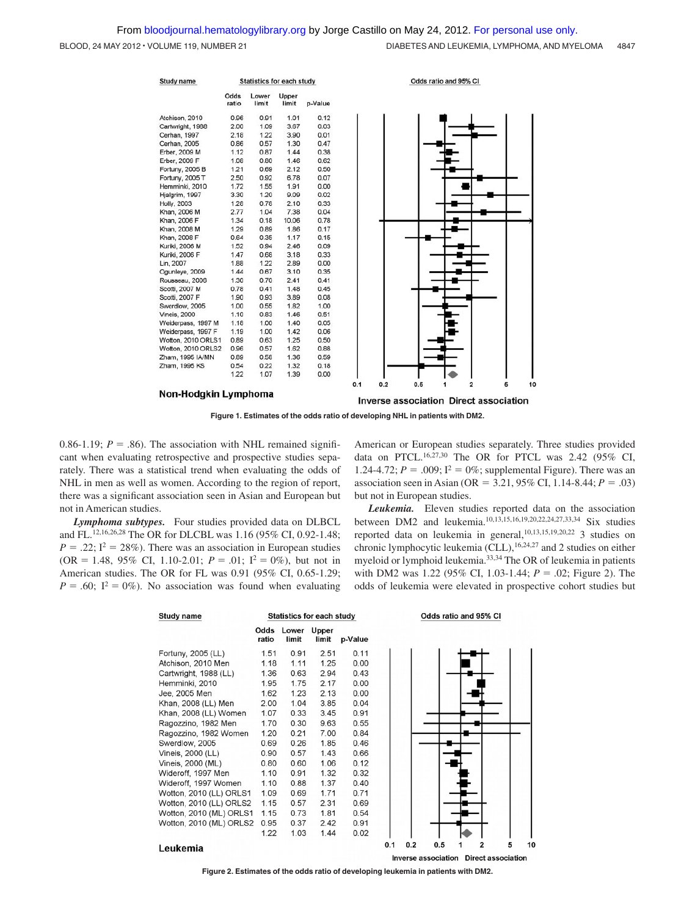BLOOD, 24 MAY 2012 · VOLUME 119, NUMBER 21 **DIABETES AND LEUKEMIA, LYMPHOMA, AND MYELOMA** 4847



Non-Hodgkin Lymphoma

Inverse association Direct association

**Figure 1. Estimates of the odds ratio of developing NHL in patients with DM2.**

0.86-1.19;  $P = .86$ ). The association with NHL remained significant when evaluating retrospective and prospective studies separately. There was a statistical trend when evaluating the odds of NHL in men as well as women. According to the region of report, there was a significant association seen in Asian and European but not in American studies.

*Lymphoma subtypes.* Four studies provided data on DLBCL and FL.12,16,26,28 The OR for DLCBL was 1.16 (95% CI, 0.92-1.48;  $P = .22$ ;  $I^2 = 28\%$ ). There was an association in European studies (OR = 1.48, 95% CI, 1.10-2.01;  $P = .01$ ;  $I^2 = 0\%$ ), but not in American studies. The OR for FL was 0.91 (95% CI, 0.65-1.29;  $P = .60$ ;  $I^2 = 0\%$ ). No association was found when evaluating

American or European studies separately. Three studies provided data on PTCL.16,27,30 The OR for PTCL was 2.42 (95% CI, 1.24-4.72;  $P = .009$ ;  $I^2 = 0\%$ ; supplemental Figure). There was an association seen in Asian (OR =  $3.21,95\%$  CI, 1.14-8.44;  $P = .03$ ) but not in European studies.

*Leukemia.* Eleven studies reported data on the association between DM2 and leukemia.10,13,15,16,19,20,22,24,27,33,34 Six studies reported data on leukemia in general, 10,13,15,19,20,22 3 studies on chronic lymphocytic leukemia (CLL),  $16,24,27$  and 2 studies on either myeloid or lymphoid leukemia.33,34 The OR of leukemia in patients with DM2 was 1.22 (95% CI, 1.03-1.44;  $P = .02$ ; Figure 2). The odds of leukemia were elevated in prospective cohort studies but

| <b>Study name</b>       |               | <b>Statistics for each study</b> |                |         |     | Odds ratio and 95% CI |     |   |                |   |    |
|-------------------------|---------------|----------------------------------|----------------|---------|-----|-----------------------|-----|---|----------------|---|----|
|                         | Odds<br>ratio | Lower<br>limit                   | Upper<br>limit | p-Value |     |                       |     |   |                |   |    |
| Fortuny, 2005 (LL)      | 1.51          | 0.91                             | 2.51           | 0.11    |     |                       |     |   |                |   |    |
| Atchison, 2010 Men      | 1.18          | 1.11                             | 1.25           | 0.00    |     |                       |     |   |                |   |    |
| Cartwright, 1988 (LL)   | 1.36          | 0.63                             | 2.94           | 0.43    |     |                       |     |   |                |   |    |
| Hemminki, 2010          | 1.95          | 1.75                             | 2.17           | 0.00    |     |                       |     |   |                |   |    |
| Jee, 2005 Men           | 1.62          | 1.23                             | 2.13           | 0.00    |     |                       |     |   |                |   |    |
| Khan, 2008 (LL) Men     | 2.00          | 1.04                             | 3.85           | 0.04    |     |                       |     |   |                |   |    |
| Khan, 2008 (LL) Women   | 1.07          | 0.33                             | 3.45           | 0.91    |     |                       |     |   |                |   |    |
| Ragozzino, 1982 Men     | 1.70          | 0.30                             | 9.63           | 0.55    |     |                       |     |   |                |   |    |
| Ragozzino, 1982 Women   | 1.20          | 0.21                             | 7.00           | 0.84    |     |                       |     |   |                |   |    |
| Swerdlow, 2005          | 0.69          | 0.26                             | 1.85           | 0.46    |     |                       |     |   |                |   |    |
| Vineis, 2000 (LL)       | 0.90          | 0.57                             | 1.43           | 0.66    |     |                       |     |   |                |   |    |
| Vineis, 2000 (ML)       | 0.80          | 0.60                             | 1.06           | 0.12    |     |                       |     |   |                |   |    |
| Wideroff, 1997 Men      | 1.10          | 0.91                             | 1.32           | 0.32    |     |                       |     |   |                |   |    |
| Wideroff, 1997 Women    | 1.10          | 0.88                             | 1.37           | 0.40    |     |                       |     |   |                |   |    |
| Wotton, 2010 (LL) ORLS1 | 1.09          | 0.69                             | 1.71           | 0.71    |     |                       |     |   |                |   |    |
| Wotton, 2010 (LL) ORLS2 | 1.15          | 0.57                             | 2.31           | 0.69    |     |                       |     |   |                |   |    |
| Wotton, 2010 (ML) ORLS1 | 1.15          | 0.73                             | 1.81           | 0.54    |     |                       |     |   |                |   |    |
| Wotton, 2010 (ML) ORLS2 | 0.95          | 0.37                             | 2.42           | 0.91    |     |                       |     |   |                |   |    |
|                         | 1.22          | 1.03                             | 1.44           | 0.02    |     |                       |     |   |                |   |    |
| Leukemia                |               |                                  |                |         | 0.1 | 0.2                   | 0.5 | 1 | $\overline{2}$ | 5 | 10 |

Inverse association Direct association

**Figure 2. Estimates of the odds ratio of developing leukemia in patients with DM2.**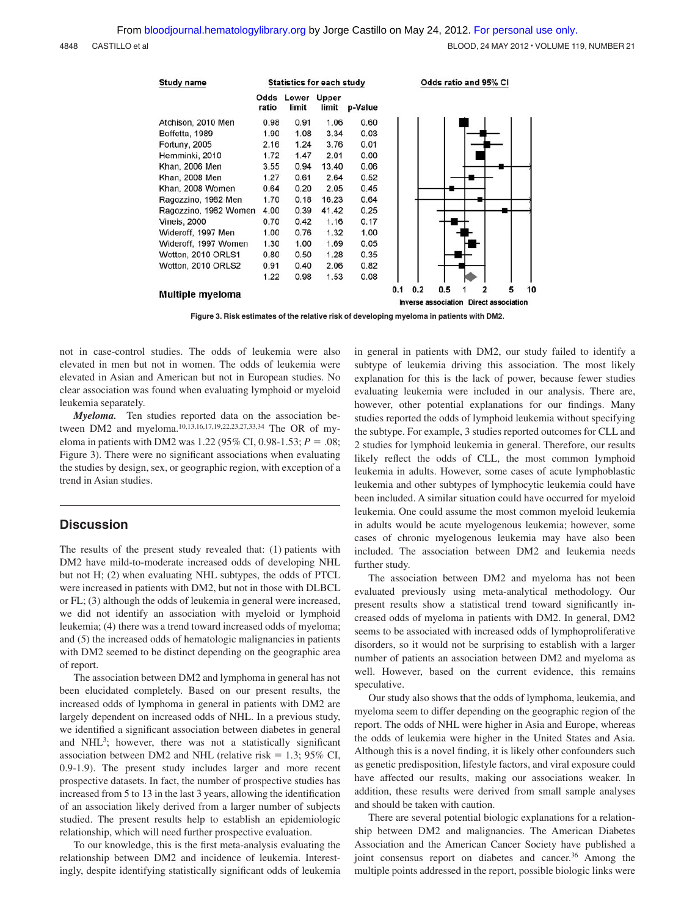| Study name            |               | <b>Statistics for each study</b> |                       |         | Odds ratio and 95% CI                                                         |
|-----------------------|---------------|----------------------------------|-----------------------|---------|-------------------------------------------------------------------------------|
|                       | Odds<br>ratio | Lower<br>limit                   | <b>Upper</b><br>limit | p-Value |                                                                               |
| Atchison, 2010 Men    | 0.98          | 0.91                             | 1.06                  | 0.60    |                                                                               |
| Boffetta, 1989        | 1.90          | 1.08                             | 3.34                  | 0.03    |                                                                               |
| <b>Fortuny, 2005</b>  | 2.16          | 1.24                             | 3.76                  | 0.01    |                                                                               |
| Hemminki, 2010        | 1.72          | 1.47                             | 2.01                  | 0.00    |                                                                               |
| Khan, 2006 Men        | 3.55          | 0.94                             | 13.40                 | 0.06    |                                                                               |
| Khan, 2008 Men        | 1.27          | 0.61                             | 2.64                  | 0.52    |                                                                               |
| Khan, 2008 Women      | 0.64          | 0.20                             | 2.05                  | 0.45    |                                                                               |
| Ragozzino, 1982 Men   | 1.70          | 0.18                             | 16.23                 | 0.64    |                                                                               |
| Ragozzino, 1982 Women | 4.00          | 0.39                             | 41.42                 | 0.25    |                                                                               |
| <b>Vineis, 2000</b>   | 0.70          | 0.42                             | 1.16                  | 0.17    |                                                                               |
| Wideroff, 1997 Men    | 1.00          | 0.76                             | 1.32                  | 1.00    |                                                                               |
| Wideroff, 1997 Women  | 1.30          | 1.00                             | 1.69                  | 0.05    |                                                                               |
| Wotton, 2010 ORLS1    | 0.80          | 0.50                             | 1.28                  | 0.35    |                                                                               |
| Wotton, 2010 ORLS2    | 0.91          | 0.40                             | 2.06                  | 0.82    |                                                                               |
|                       | 1.22          | 0.98                             | 1.53                  | 0.08    |                                                                               |
| Multiple myeloma      |               |                                  |                       |         | 10<br>0.2<br>0.5<br>5<br>0.1<br><b>Inverse association Direct association</b> |

**Figure 3. Risk estimates of the relative risk of developing myeloma in patients with DM2.**

not in case-control studies. The odds of leukemia were also elevated in men but not in women. The odds of leukemia were elevated in Asian and American but not in European studies. No clear association was found when evaluating lymphoid or myeloid leukemia separately.

*Myeloma.* Ten studies reported data on the association between DM2 and myeloma.10,13,16,17,19,22,23,27,33,34 The OR of myeloma in patients with DM2 was 1.22 (95% CI, 0.98-1.53;  $P = .08$ ; Figure 3). There were no significant associations when evaluating the studies by design, sex, or geographic region, with exception of a trend in Asian studies.

## **Discussion**

The results of the present study revealed that: (1) patients with DM2 have mild-to-moderate increased odds of developing NHL but not H; (2) when evaluating NHL subtypes, the odds of PTCL were increased in patients with DM2, but not in those with DLBCL or FL; (3) although the odds of leukemia in general were increased, we did not identify an association with myeloid or lymphoid leukemia; (4) there was a trend toward increased odds of myeloma; and (5) the increased odds of hematologic malignancies in patients with DM2 seemed to be distinct depending on the geographic area of report.

The association between DM2 and lymphoma in general has not been elucidated completely. Based on our present results, the increased odds of lymphoma in general in patients with DM2 are largely dependent on increased odds of NHL. In a previous study, we identified a significant association between diabetes in general and NHL3; however, there was not a statistically significant association between DM2 and NHL (relative risk  $= 1.3$ ; 95% CI, 0.9-1.9). The present study includes larger and more recent prospective datasets. In fact, the number of prospective studies has increased from 5 to 13 in the last 3 years, allowing the identification of an association likely derived from a larger number of subjects studied. The present results help to establish an epidemiologic relationship, which will need further prospective evaluation.

To our knowledge, this is the first meta-analysis evaluating the relationship between DM2 and incidence of leukemia. Interestingly, despite identifying statistically significant odds of leukemia in general in patients with DM2, our study failed to identify a subtype of leukemia driving this association. The most likely explanation for this is the lack of power, because fewer studies evaluating leukemia were included in our analysis. There are, however, other potential explanations for our findings. Many studies reported the odds of lymphoid leukemia without specifying the subtype. For example, 3 studies reported outcomes for CLL and 2 studies for lymphoid leukemia in general. Therefore, our results likely reflect the odds of CLL, the most common lymphoid leukemia in adults. However, some cases of acute lymphoblastic leukemia and other subtypes of lymphocytic leukemia could have been included. A similar situation could have occurred for myeloid leukemia. One could assume the most common myeloid leukemia in adults would be acute myelogenous leukemia; however, some cases of chronic myelogenous leukemia may have also been included. The association between DM2 and leukemia needs further study.

The association between DM2 and myeloma has not been evaluated previously using meta-analytical methodology. Our present results show a statistical trend toward significantly increased odds of myeloma in patients with DM2. In general, DM2 seems to be associated with increased odds of lymphoproliferative disorders, so it would not be surprising to establish with a larger number of patients an association between DM2 and myeloma as well. However, based on the current evidence, this remains speculative.

Our study also shows that the odds of lymphoma, leukemia, and myeloma seem to differ depending on the geographic region of the report. The odds of NHL were higher in Asia and Europe, whereas the odds of leukemia were higher in the United States and Asia. Although this is a novel finding, it is likely other confounders such as genetic predisposition, lifestyle factors, and viral exposure could have affected our results, making our associations weaker. In addition, these results were derived from small sample analyses and should be taken with caution.

There are several potential biologic explanations for a relationship between DM2 and malignancies. The American Diabetes Association and the American Cancer Society have published a joint consensus report on diabetes and cancer.<sup>36</sup> Among the multiple points addressed in the report, possible biologic links were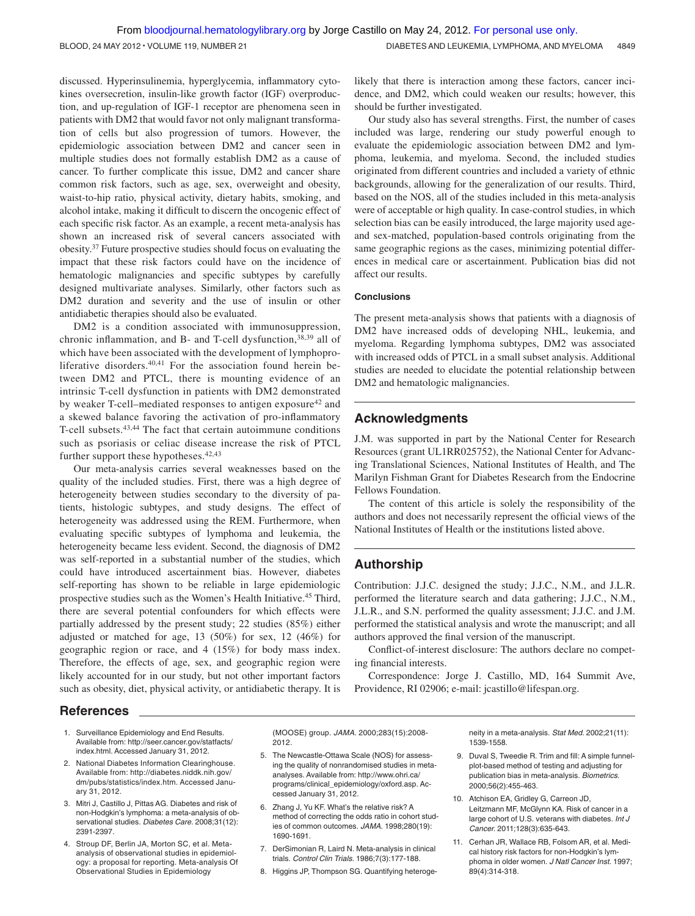discussed. Hyperinsulinemia, hyperglycemia, inflammatory cytokines oversecretion, insulin-like growth factor (IGF) overproduction, and up-regulation of IGF-1 receptor are phenomena seen in patients with DM2 that would favor not only malignant transformation of cells but also progression of tumors. However, the epidemiologic association between DM2 and cancer seen in multiple studies does not formally establish DM2 as a cause of cancer. To further complicate this issue, DM2 and cancer share common risk factors, such as age, sex, overweight and obesity, waist-to-hip ratio, physical activity, dietary habits, smoking, and alcohol intake, making it difficult to discern the oncogenic effect of each specific risk factor. As an example, a recent meta-analysis has shown an increased risk of several cancers associated with obesity.37 Future prospective studies should focus on evaluating the impact that these risk factors could have on the incidence of hematologic malignancies and specific subtypes by carefully designed multivariate analyses. Similarly, other factors such as DM2 duration and severity and the use of insulin or other antidiabetic therapies should also be evaluated.

DM2 is a condition associated with immunosuppression, chronic inflammation, and B- and T-cell dysfunction,<sup>38,39</sup> all of which have been associated with the development of lymphoproliferative disorders.40,41 For the association found herein between DM2 and PTCL, there is mounting evidence of an intrinsic T-cell dysfunction in patients with DM2 demonstrated by weaker T-cell–mediated responses to antigen exposure<sup>42</sup> and a skewed balance favoring the activation of pro-inflammatory T-cell subsets.43,44 The fact that certain autoimmune conditions such as psoriasis or celiac disease increase the risk of PTCL further support these hypotheses.<sup>42,43</sup>

Our meta-analysis carries several weaknesses based on the quality of the included studies. First, there was a high degree of heterogeneity between studies secondary to the diversity of patients, histologic subtypes, and study designs. The effect of heterogeneity was addressed using the REM. Furthermore, when evaluating specific subtypes of lymphoma and leukemia, the heterogeneity became less evident. Second, the diagnosis of DM2 was self-reported in a substantial number of the studies, which could have introduced ascertainment bias. However, diabetes self-reporting has shown to be reliable in large epidemiologic prospective studies such as the Women's Health Initiative.45 Third, there are several potential confounders for which effects were partially addressed by the present study; 22 studies (85%) either adjusted or matched for age, 13 (50%) for sex, 12 (46%) for geographic region or race, and 4 (15%) for body mass index. Therefore, the effects of age, sex, and geographic region were likely accounted for in our study, but not other important factors such as obesity, diet, physical activity, or antidiabetic therapy. It is likely that there is interaction among these factors, cancer incidence, and DM2, which could weaken our results; however, this should be further investigated.

Our study also has several strengths. First, the number of cases included was large, rendering our study powerful enough to evaluate the epidemiologic association between DM2 and lymphoma, leukemia, and myeloma. Second, the included studies originated from different countries and included a variety of ethnic backgrounds, allowing for the generalization of our results. Third, based on the NOS, all of the studies included in this meta-analysis were of acceptable or high quality. In case-control studies, in which selection bias can be easily introduced, the large majority used ageand sex-matched, population-based controls originating from the same geographic regions as the cases, minimizing potential differences in medical care or ascertainment. Publication bias did not affect our results.

## **Conclusions**

The present meta-analysis shows that patients with a diagnosis of DM2 have increased odds of developing NHL, leukemia, and myeloma. Regarding lymphoma subtypes, DM2 was associated with increased odds of PTCL in a small subset analysis. Additional studies are needed to elucidate the potential relationship between DM2 and hematologic malignancies.

# **Acknowledgments**

J.M. was supported in part by the National Center for Research Resources (grant UL1RR025752), the National Center for Advancing Translational Sciences, National Institutes of Health, and The Marilyn Fishman Grant for Diabetes Research from the Endocrine Fellows Foundation.

The content of this article is solely the responsibility of the authors and does not necessarily represent the official views of the National Institutes of Health or the institutions listed above.

# **Authorship**

Contribution: J.J.C. designed the study; J.J.C., N.M., and J.L.R. performed the literature search and data gathering; J.J.C., N.M., J.L.R., and S.N. performed the quality assessment; J.J.C. and J.M. performed the statistical analysis and wrote the manuscript; and all authors approved the final version of the manuscript.

Conflict-of-interest disclosure: The authors declare no competing financial interests.

Correspondence: Jorge J. Castillo, MD, 164 Summit Ave, Providence, RI 02906; e-mail: jcastillo@lifespan.org.

# **References**

- 1. Surveillance Epidemiology and End Results. Available from: http://seer.cancer.gov/statfacts/ index.html. Accessed January 31, 2012.
- 2. National Diabetes Information Clearinghouse. Available from: http://diabetes.niddk.nih.gov/ dm/pubs/statistics/index.htm. Accessed January 31, 2012.
- 3. Mitri J, Castillo J, Pittas AG. Diabetes and risk of non-Hodgkin's lymphoma: a meta-analysis of observational studies. *Diabetes Care.* 2008;31(12): 2391-2397.
- 4. Stroup DF, Berlin JA, Morton SC, et al. Metaanalysis of observational studies in epidemiology: a proposal for reporting. Meta-analysis Of Observational Studies in Epidemiology

(MOOSE) group. *JAMA.* 2000;283(15):2008- 2012.

- 5. The Newcastle-Ottawa Scale (NOS) for assessing the quality of nonrandomised studies in metaanalyses. Available from: http://www.ohri.ca/ programs/clinical\_epidemiology/oxford.asp. Accessed January 31, 2012.
- 6. Zhang J, Yu KF. What's the relative risk? A method of correcting the odds ratio in cohort studies of common outcomes. *JAMA.* 1998;280(19): 1690-1691.
- 7. DerSimonian R, Laird N. Meta-analysis in clinical trials. *Control Clin Trials.* 1986;7(3):177-188.
- 8. Higgins JP, Thompson SG. Quantifying heteroge-

neity in a meta-analysis. *Stat Med.* 2002;21(11): 1539-1558.

- 9. Duval S, Tweedie R. Trim and fill: A simple funnelplot-based method of testing and adjusting for publication bias in meta-analysis. *Biometrics.* 2000;56(2):455-463.
- 10. Atchison EA, Gridley G, Carreon JD, Leitzmann MF, McGlynn KA. Risk of cancer in a large cohort of U.S. veterans with diabetes. *Int J Cancer.* 2011;128(3):635-643.
- 11. Cerhan JR, Wallace RB, Folsom AR, et al. Medical history risk factors for non-Hodgkin's lymphoma in older women. *J Natl Cancer Inst.* 1997; 89(4):314-318.